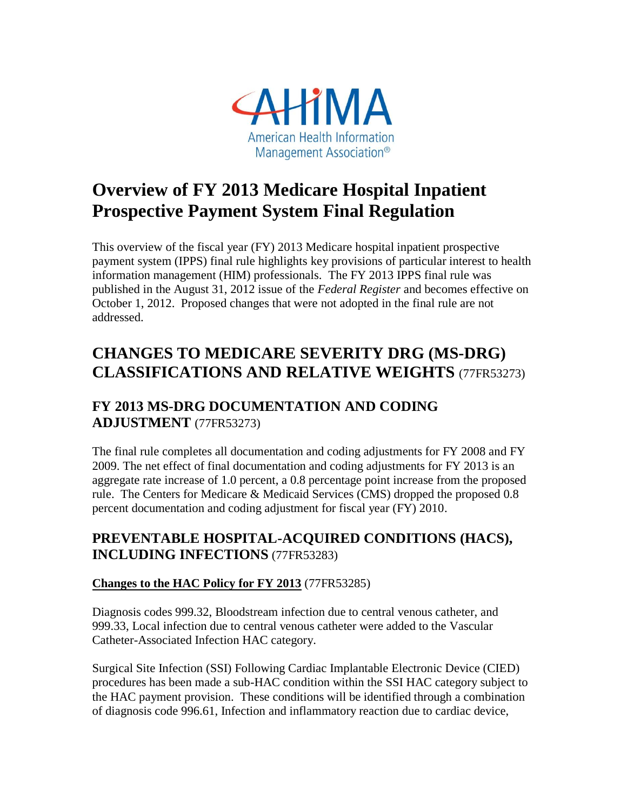

# **Overview of FY 2013 Medicare Hospital Inpatient Prospective Payment System Final Regulation**

This overview of the fiscal year (FY) 2013 Medicare hospital inpatient prospective payment system (IPPS) final rule highlights key provisions of particular interest to health information management (HIM) professionals. The FY 2013 IPPS final rule was published in the August 31, 2012 issue of the *Federal Register* and becomes effective on October 1, 2012. Proposed changes that were not adopted in the final rule are not addressed.

# **CHANGES TO MEDICARE SEVERITY DRG (MS-DRG) CLASSIFICATIONS AND RELATIVE WEIGHTS** (77FR53273)

## **FY 2013 MS-DRG DOCUMENTATION AND CODING ADJUSTMENT** (77FR53273)

The final rule completes all documentation and coding adjustments for FY 2008 and FY 2009. The net effect of final documentation and coding adjustments for FY 2013 is an aggregate rate increase of 1.0 percent, a 0.8 percentage point increase from the proposed rule. The Centers for Medicare & Medicaid Services (CMS) dropped the proposed 0.8 percent documentation and coding adjustment for fiscal year (FY) 2010.

## **PREVENTABLE HOSPITAL-ACQUIRED CONDITIONS (HACS), INCLUDING INFECTIONS** (77FR53283)

### **Changes to the HAC Policy for FY 2013** (77FR53285)

Diagnosis codes 999.32, Bloodstream infection due to central venous catheter, and 999.33, Local infection due to central venous catheter were added to the Vascular Catheter-Associated Infection HAC category.

Surgical Site Infection (SSI) Following Cardiac Implantable Electronic Device (CIED) procedures has been made a sub-HAC condition within the SSI HAC category subject to the HAC payment provision. These conditions will be identified through a combination of diagnosis code 996.61, Infection and inflammatory reaction due to cardiac device,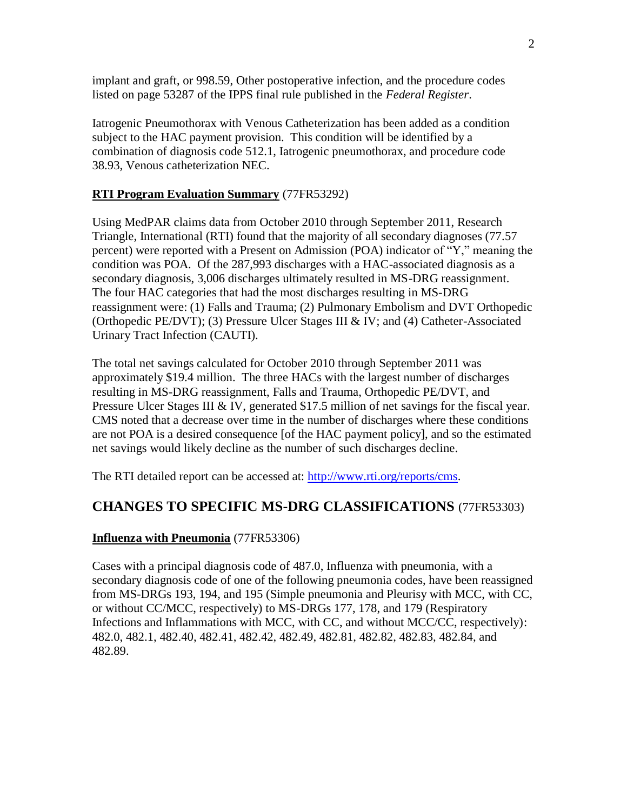implant and graft, or 998.59, Other postoperative infection, and the procedure codes listed on page 53287 of the IPPS final rule published in the *Federal Register*.

Iatrogenic Pneumothorax with Venous Catheterization has been added as a condition subject to the HAC payment provision. This condition will be identified by a combination of diagnosis code 512.1, Iatrogenic pneumothorax, and procedure code 38.93, Venous catheterization NEC.

#### **RTI Program Evaluation Summary** (77FR53292)

Using MedPAR claims data from October 2010 through September 2011, Research Triangle, International (RTI) found that the majority of all secondary diagnoses (77.57 percent) were reported with a Present on Admission (POA) indicator of "Y," meaning the condition was POA. Of the 287,993 discharges with a HAC-associated diagnosis as a secondary diagnosis, 3,006 discharges ultimately resulted in MS-DRG reassignment. The four HAC categories that had the most discharges resulting in MS-DRG reassignment were: (1) Falls and Trauma; (2) Pulmonary Embolism and DVT Orthopedic (Orthopedic PE/DVT); (3) Pressure Ulcer Stages III & IV; and (4) Catheter-Associated Urinary Tract Infection (CAUTI).

The total net savings calculated for October 2010 through September 2011 was approximately \$19.4 million. The three HACs with the largest number of discharges resulting in MS-DRG reassignment, Falls and Trauma, Orthopedic PE/DVT, and Pressure Ulcer Stages III & IV, generated \$17.5 million of net savings for the fiscal year. CMS noted that a decrease over time in the number of discharges where these conditions are not POA is a desired consequence [of the HAC payment policy], and so the estimated net savings would likely decline as the number of such discharges decline.

The RTI detailed report can be accessed at: [http://www.rti.org/reports/cms.](http://www.rti.org/reports/cms)

## **CHANGES TO SPECIFIC MS-DRG CLASSIFICATIONS** (77FR53303)

#### **Influenza with Pneumonia** (77FR53306)

Cases with a principal diagnosis code of 487.0, Influenza with pneumonia, with a secondary diagnosis code of one of the following pneumonia codes, have been reassigned from MS-DRGs 193, 194, and 195 (Simple pneumonia and Pleurisy with MCC, with CC, or without CC/MCC, respectively) to MS-DRGs 177, 178, and 179 (Respiratory Infections and Inflammations with MCC, with CC, and without MCC/CC, respectively): 482.0, 482.1, 482.40, 482.41, 482.42, 482.49, 482.81, 482.82, 482.83, 482.84, and 482.89.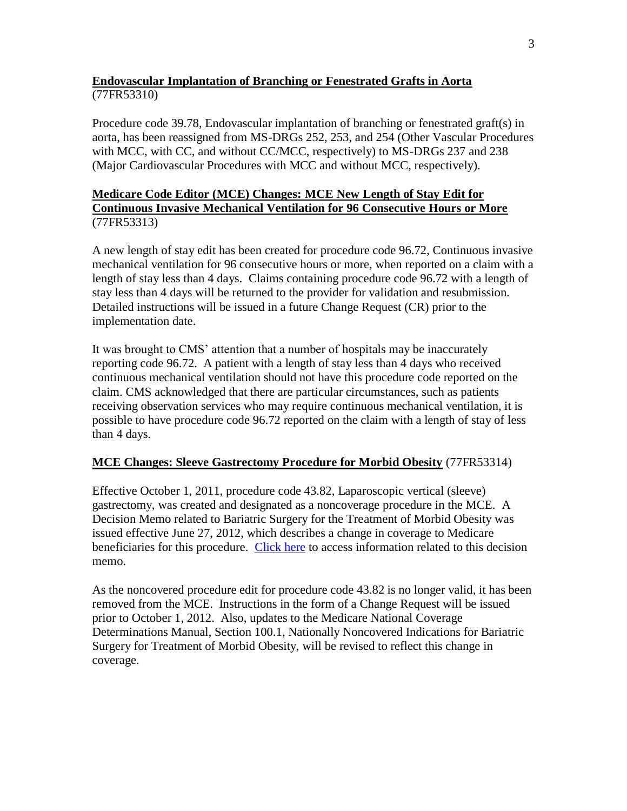#### **Endovascular Implantation of Branching or Fenestrated Grafts in Aorta** (77FR53310)

Procedure code 39.78, Endovascular implantation of branching or fenestrated graft(s) in aorta, has been reassigned from MS-DRGs 252, 253, and 254 (Other Vascular Procedures with MCC, with CC, and without CC/MCC, respectively) to MS-DRGs 237 and 238 (Major Cardiovascular Procedures with MCC and without MCC, respectively).

#### **Medicare Code Editor (MCE) Changes: MCE New Length of Stay Edit for Continuous Invasive Mechanical Ventilation for 96 Consecutive Hours or More** (77FR53313)

A new length of stay edit has been created for procedure code 96.72, Continuous invasive mechanical ventilation for 96 consecutive hours or more, when reported on a claim with a length of stay less than 4 days. Claims containing procedure code 96.72 with a length of stay less than 4 days will be returned to the provider for validation and resubmission. Detailed instructions will be issued in a future Change Request (CR) prior to the implementation date.

It was brought to CMS' attention that a number of hospitals may be inaccurately reporting code 96.72. A patient with a length of stay less than 4 days who received continuous mechanical ventilation should not have this procedure code reported on the claim. CMS acknowledged that there are particular circumstances, such as patients receiving observation services who may require continuous mechanical ventilation, it is possible to have procedure code 96.72 reported on the claim with a length of stay of less than 4 days.

#### **MCE Changes: Sleeve Gastrectomy Procedure for Morbid Obesity** (77FR53314)

Effective October 1, 2011, procedure code 43.82, Laparoscopic vertical (sleeve) gastrectomy, was created and designated as a noncoverage procedure in the MCE. A Decision Memo related to Bariatric Surgery for the Treatment of Morbid Obesity was issued effective June 27, 2012, which describes a change in coverage to Medicare beneficiaries for this procedure. [Click here](http://www.cms.gov/medicare-coverage-database/details/nca-decision-memo.aspx?NCAId=258&fromdb=true) to access information related to this decision memo.

As the noncovered procedure edit for procedure code 43.82 is no longer valid, it has been removed from the MCE. Instructions in the form of a Change Request will be issued prior to October 1, 2012. Also, updates to the Medicare National Coverage Determinations Manual, Section 100.1, Nationally Noncovered Indications for Bariatric Surgery for Treatment of Morbid Obesity, will be revised to reflect this change in coverage.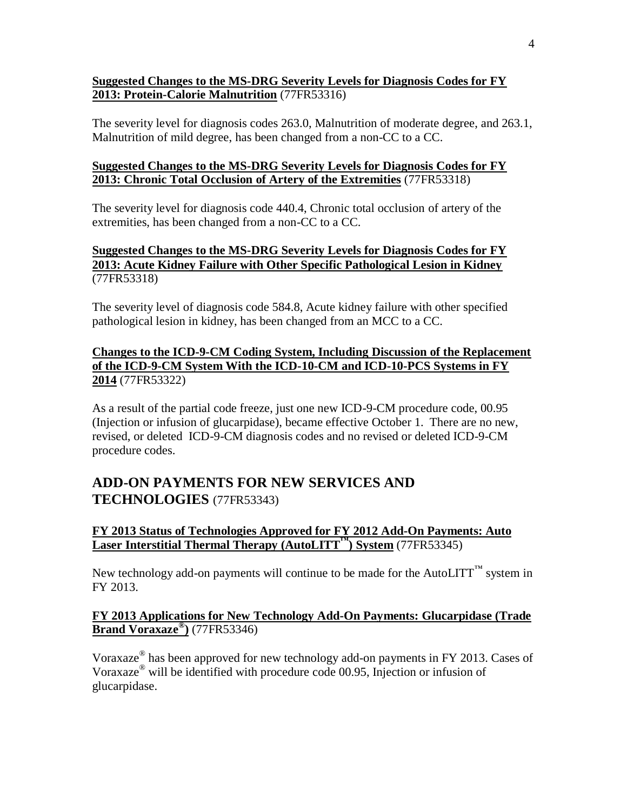#### **Suggested Changes to the MS-DRG Severity Levels for Diagnosis Codes for FY 2013: Protein-Calorie Malnutrition** (77FR53316)

The severity level for diagnosis codes 263.0, Malnutrition of moderate degree, and 263.1, Malnutrition of mild degree, has been changed from a non-CC to a CC.

#### **Suggested Changes to the MS-DRG Severity Levels for Diagnosis Codes for FY 2013: Chronic Total Occlusion of Artery of the Extremities** (77FR53318)

The severity level for diagnosis code 440.4, Chronic total occlusion of artery of the extremities, has been changed from a non-CC to a CC.

#### **Suggested Changes to the MS-DRG Severity Levels for Diagnosis Codes for FY 2013: Acute Kidney Failure with Other Specific Pathological Lesion in Kidney** (77FR53318)

The severity level of diagnosis code 584.8, Acute kidney failure with other specified pathological lesion in kidney, has been changed from an MCC to a CC.

#### **Changes to the ICD-9-CM Coding System, Including Discussion of the Replacement of the ICD-9-CM System With the ICD-10-CM and ICD-10-PCS Systems in FY 2014** (77FR53322)

As a result of the partial code freeze, just one new ICD-9-CM procedure code, 00.95 (Injection or infusion of glucarpidase), became effective October 1. There are no new, revised, or deleted ICD-9-CM diagnosis codes and no revised or deleted ICD-9-CM procedure codes.

## **ADD-ON PAYMENTS FOR NEW SERVICES AND TECHNOLOGIES** (77FR53343)

#### **FY 2013 Status of Technologies Approved for FY 2012 Add-On Payments: Auto Laser Interstitial Thermal Therapy (AutoLITT™) System** (77FR53345)

New technology add-on payments will continue to be made for the AutoLITT<sup> $M$ </sup> system in FY 2013.

#### **FY 2013 Applications for New Technology Add-On Payments: Glucarpidase (Trade Brand Voraxaze® )** (77FR53346)

Voraxaze<sup>®</sup> has been approved for new technology add-on payments in FY 2013. Cases of Voraxaze® will be identified with procedure code 00.95, Injection or infusion of glucarpidase.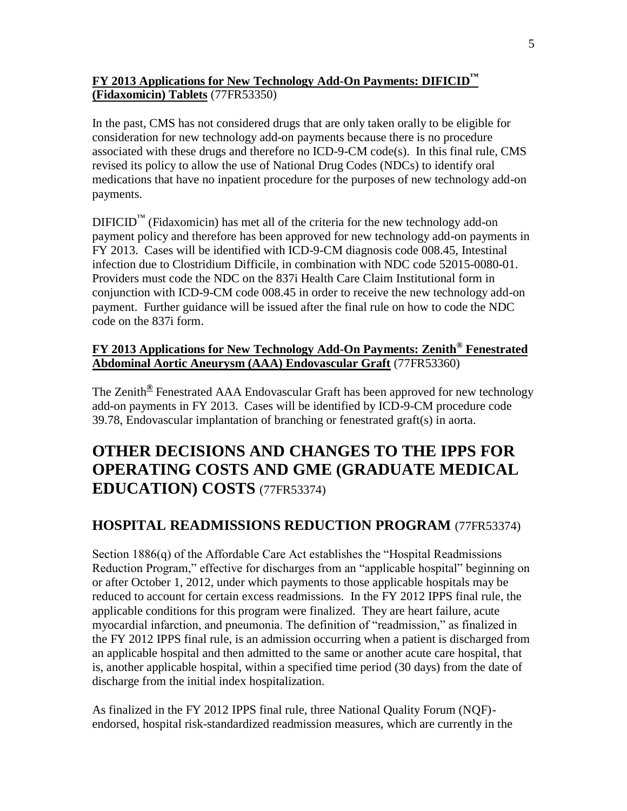### **FY 2013 Applications for New Technology Add-On Payments: DIFICID™ (Fidaxomicin) Tablets** (77FR53350)

In the past, CMS has not considered drugs that are only taken orally to be eligible for consideration for new technology add-on payments because there is no procedure associated with these drugs and therefore no ICD-9-CM code(s). In this final rule, CMS revised its policy to allow the use of National Drug Codes (NDCs) to identify oral medications that have no inpatient procedure for the purposes of new technology add-on payments.

 $DIFICID<sup>TM</sup>$  (Fidaxomicin) has met all of the criteria for the new technology add-on payment policy and therefore has been approved for new technology add-on payments in FY 2013. Cases will be identified with ICD-9-CM diagnosis code 008.45, Intestinal infection due to Clostridium Difficile, in combination with NDC code 52015-0080-01. Providers must code the NDC on the 837i Health Care Claim Institutional form in conjunction with ICD-9-CM code 008.45 in order to receive the new technology add-on payment. Further guidance will be issued after the final rule on how to code the NDC code on the 837i form.

#### **FY 2013 Applications for New Technology Add-On Payments: Zenith® Fenestrated Abdominal Aortic Aneurysm (AAA) Endovascular Graft** (77FR53360)

The Zenith**®** Fenestrated AAA Endovascular Graft has been approved for new technology add-on payments in FY 2013. Cases will be identified by ICD-9-CM procedure code 39.78, Endovascular implantation of branching or fenestrated graft(s) in aorta.

# **OTHER DECISIONS AND CHANGES TO THE IPPS FOR OPERATING COSTS AND GME (GRADUATE MEDICAL EDUCATION) COSTS** (77FR53374)

## **HOSPITAL READMISSIONS REDUCTION PROGRAM** (77FR53374)

Section 1886(q) of the Affordable Care Act establishes the "Hospital Readmissions Reduction Program," effective for discharges from an "applicable hospital" beginning on or after October 1, 2012, under which payments to those applicable hospitals may be reduced to account for certain excess readmissions. In the FY 2012 IPPS final rule, the applicable conditions for this program were finalized. They are heart failure, acute myocardial infarction, and pneumonia. The definition of "readmission," as finalized in the FY 2012 IPPS final rule, is an admission occurring when a patient is discharged from an applicable hospital and then admitted to the same or another acute care hospital, that is, another applicable hospital, within a specified time period (30 days) from the date of discharge from the initial index hospitalization.

As finalized in the FY 2012 IPPS final rule, three National Quality Forum (NQF) endorsed, hospital risk-standardized readmission measures, which are currently in the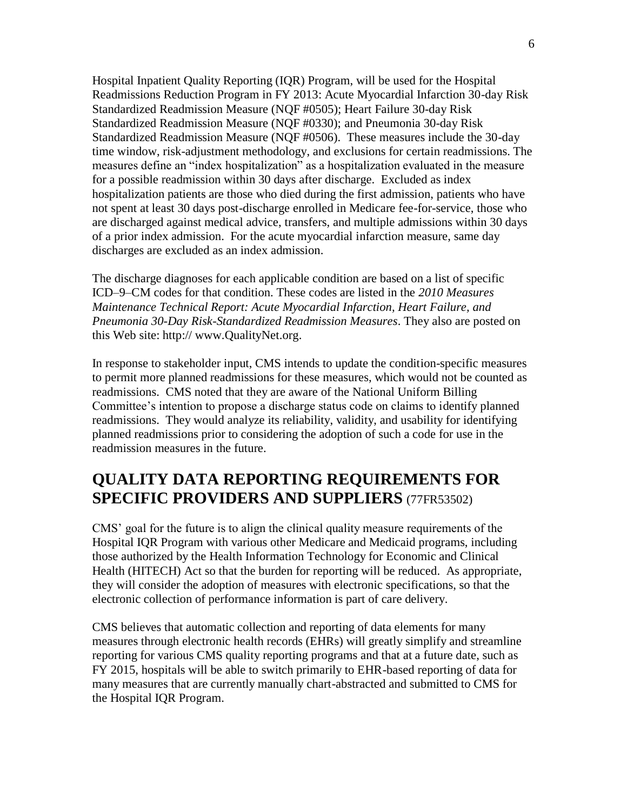Hospital Inpatient Quality Reporting (IQR) Program, will be used for the Hospital Readmissions Reduction Program in FY 2013: Acute Myocardial Infarction 30-day Risk Standardized Readmission Measure (NQF #0505); Heart Failure 30-day Risk Standardized Readmission Measure (NQF #0330); and Pneumonia 30-day Risk Standardized Readmission Measure (NQF #0506). These measures include the 30-day time window, risk-adjustment methodology, and exclusions for certain readmissions. The measures define an "index hospitalization" as a hospitalization evaluated in the measure for a possible readmission within 30 days after discharge. Excluded as index hospitalization patients are those who died during the first admission, patients who have not spent at least 30 days post-discharge enrolled in Medicare fee-for-service, those who are discharged against medical advice, transfers, and multiple admissions within 30 days of a prior index admission. For the acute myocardial infarction measure, same day discharges are excluded as an index admission.

The discharge diagnoses for each applicable condition are based on a list of specific ICD–9–CM codes for that condition. These codes are listed in the *2010 Measures Maintenance Technical Report: Acute Myocardial Infarction, Heart Failure, and Pneumonia 30-Day Risk-Standardized Readmission Measures*. They also are posted on this Web site: http:// www.QualityNet.org.

In response to stakeholder input, CMS intends to update the condition-specific measures to permit more planned readmissions for these measures, which would not be counted as readmissions. CMS noted that they are aware of the National Uniform Billing Committee's intention to propose a discharge status code on claims to identify planned readmissions. They would analyze its reliability, validity, and usability for identifying planned readmissions prior to considering the adoption of such a code for use in the readmission measures in the future.

## **QUALITY DATA REPORTING REQUIREMENTS FOR SPECIFIC PROVIDERS AND SUPPLIERS** (77FR53502)

CMS' goal for the future is to align the clinical quality measure requirements of the Hospital IQR Program with various other Medicare and Medicaid programs, including those authorized by the Health Information Technology for Economic and Clinical Health (HITECH) Act so that the burden for reporting will be reduced. As appropriate, they will consider the adoption of measures with electronic specifications, so that the electronic collection of performance information is part of care delivery.

CMS believes that automatic collection and reporting of data elements for many measures through electronic health records (EHRs) will greatly simplify and streamline reporting for various CMS quality reporting programs and that at a future date, such as FY 2015, hospitals will be able to switch primarily to EHR-based reporting of data for many measures that are currently manually chart-abstracted and submitted to CMS for the Hospital IQR Program.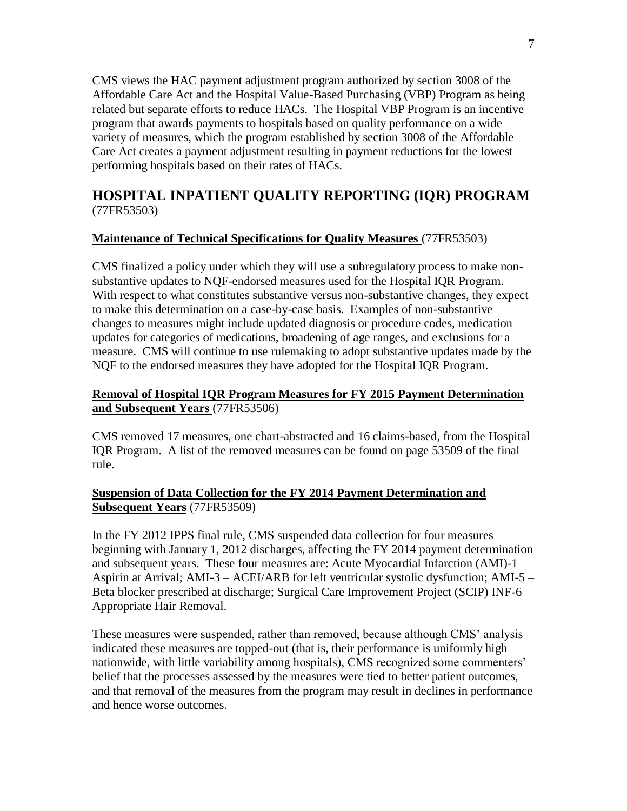CMS views the HAC payment adjustment program authorized by section 3008 of the Affordable Care Act and the Hospital Value-Based Purchasing (VBP) Program as being related but separate efforts to reduce HACs. The Hospital VBP Program is an incentive program that awards payments to hospitals based on quality performance on a wide variety of measures, which the program established by section 3008 of the Affordable Care Act creates a payment adjustment resulting in payment reductions for the lowest performing hospitals based on their rates of HACs.

## **HOSPITAL INPATIENT QUALITY REPORTING (IQR) PROGRAM**  (77FR53503)

#### **Maintenance of Technical Specifications for Quality Measures** (77FR53503)

CMS finalized a policy under which they will use a subregulatory process to make nonsubstantive updates to NQF-endorsed measures used for the Hospital IQR Program. With respect to what constitutes substantive versus non-substantive changes, they expect to make this determination on a case-by-case basis. Examples of non-substantive changes to measures might include updated diagnosis or procedure codes, medication updates for categories of medications, broadening of age ranges, and exclusions for a measure. CMS will continue to use rulemaking to adopt substantive updates made by the NQF to the endorsed measures they have adopted for the Hospital IQR Program.

#### **Removal of Hospital IQR Program Measures for FY 2015 Payment Determination and Subsequent Years** (77FR53506)

CMS removed 17 measures, one chart-abstracted and 16 claims-based, from the Hospital IQR Program. A list of the removed measures can be found on page 53509 of the final rule.

#### **Suspension of Data Collection for the FY 2014 Payment Determination and Subsequent Years** (77FR53509)

In the FY 2012 IPPS final rule, CMS suspended data collection for four measures beginning with January 1, 2012 discharges, affecting the FY 2014 payment determination and subsequent years. These four measures are: Acute Myocardial Infarction (AMI)-1 – Aspirin at Arrival; AMI-3 – ACEI/ARB for left ventricular systolic dysfunction; AMI-5 – Beta blocker prescribed at discharge; Surgical Care Improvement Project (SCIP) INF-6 – Appropriate Hair Removal.

These measures were suspended, rather than removed, because although CMS' analysis indicated these measures are topped-out (that is, their performance is uniformly high nationwide, with little variability among hospitals), CMS recognized some commenters' belief that the processes assessed by the measures were tied to better patient outcomes, and that removal of the measures from the program may result in declines in performance and hence worse outcomes.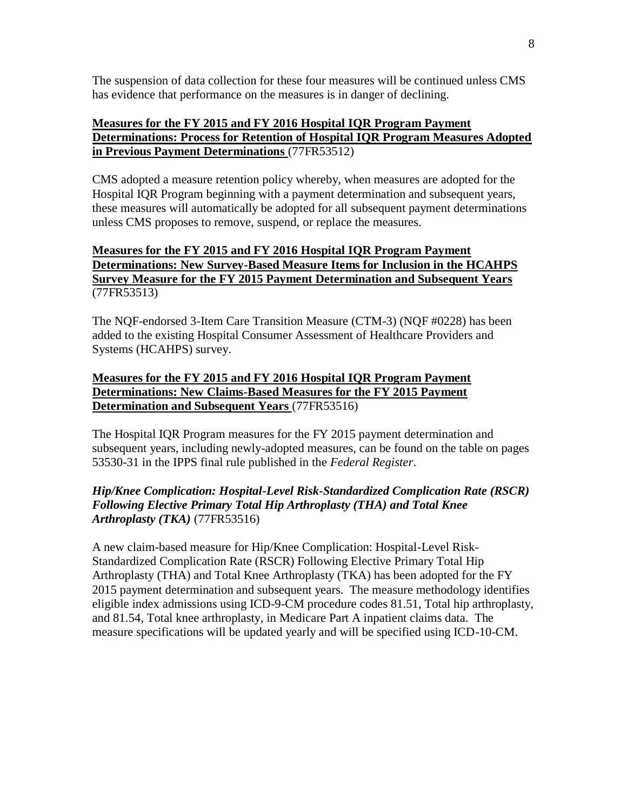The suspension of data collection for these four measures will be continued unless CMS has evidence that performance on the measures is in danger of declining.

#### **Measures for the FY 2015 and FY 2016 Hospital IQR Program Payment Determinations: Process for Retention of Hospital IQR Program Measures Adopted in Previous Payment Determinations** (77FR53512)

CMS adopted a measure retention policy whereby, when measures are adopted for the Hospital IQR Program beginning with a payment determination and subsequent years, these measures will automatically be adopted for all subsequent payment determinations unless CMS proposes to remove, suspend, or replace the measures.

#### **Measures for the FY 2015 and FY 2016 Hospital IQR Program Payment Determinations: New Survey-Based Measure Items for Inclusion in the HCAHPS Survey Measure for the FY 2015 Payment Determination and Subsequent Years** (77FR53513)

The NQF-endorsed 3-Item Care Transition Measure (CTM-3) (NQF #0228) has been added to the existing Hospital Consumer Assessment of Healthcare Providers and Systems (HCAHPS) survey.

#### **Measures for the FY 2015 and FY 2016 Hospital IQR Program Payment Determinations: New Claims-Based Measures for the FY 2015 Payment Determination and Subsequent Years** (77FR53516)

The Hospital IQR Program measures for the FY 2015 payment determination and subsequent years, including newly-adopted measures, can be found on the table on pages 53530-31 in the IPPS final rule published in the *Federal Register*.

#### *Hip/Knee Complication: Hospital-Level Risk-Standardized Complication Rate (RSCR) Following Elective Primary Total Hip Arthroplasty (THA) and Total Knee Arthroplasty (TKA)* (77FR53516)

A new claim-based measure for Hip/Knee Complication: Hospital-Level Risk-Standardized Complication Rate (RSCR) Following Elective Primary Total Hip Arthroplasty (THA) and Total Knee Arthroplasty (TKA) has been adopted for the FY 2015 payment determination and subsequent years. The measure methodology identifies eligible index admissions using ICD-9-CM procedure codes 81.51, Total hip arthroplasty, and 81.54, Total knee arthroplasty, in Medicare Part A inpatient claims data. The measure specifications will be updated yearly and will be specified using ICD-10-CM.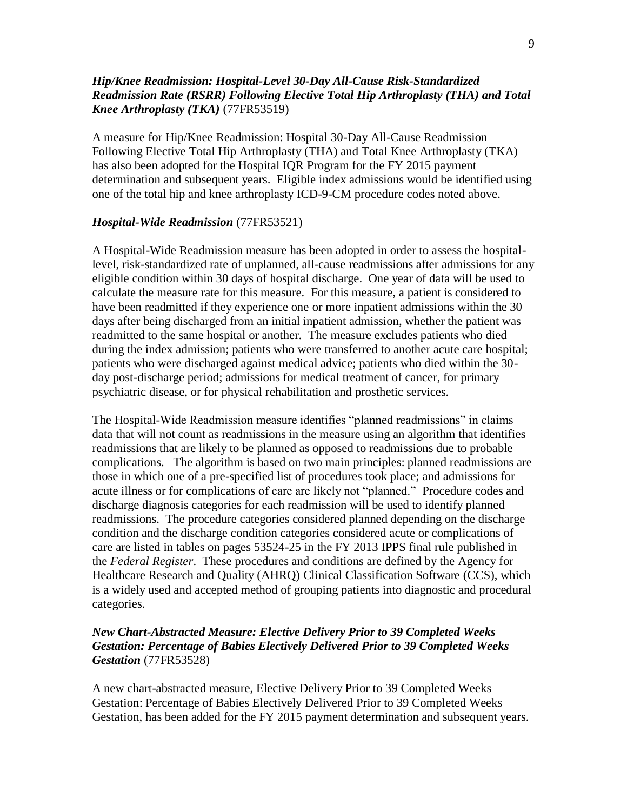#### *Hip/Knee Readmission: Hospital-Level 30-Day All-Cause Risk-Standardized Readmission Rate (RSRR) Following Elective Total Hip Arthroplasty (THA) and Total Knee Arthroplasty (TKA)* (77FR53519)

A measure for Hip/Knee Readmission: Hospital 30-Day All-Cause Readmission Following Elective Total Hip Arthroplasty (THA) and Total Knee Arthroplasty (TKA) has also been adopted for the Hospital IQR Program for the FY 2015 payment determination and subsequent years. Eligible index admissions would be identified using one of the total hip and knee arthroplasty ICD-9-CM procedure codes noted above.

#### *Hospital-Wide Readmission* (77FR53521)

A Hospital-Wide Readmission measure has been adopted in order to assess the hospitallevel, risk-standardized rate of unplanned, all-cause readmissions after admissions for any eligible condition within 30 days of hospital discharge. One year of data will be used to calculate the measure rate for this measure. For this measure, a patient is considered to have been readmitted if they experience one or more inpatient admissions within the 30 days after being discharged from an initial inpatient admission, whether the patient was readmitted to the same hospital or another. The measure excludes patients who died during the index admission; patients who were transferred to another acute care hospital; patients who were discharged against medical advice; patients who died within the 30 day post-discharge period; admissions for medical treatment of cancer, for primary psychiatric disease, or for physical rehabilitation and prosthetic services.

The Hospital-Wide Readmission measure identifies "planned readmissions" in claims data that will not count as readmissions in the measure using an algorithm that identifies readmissions that are likely to be planned as opposed to readmissions due to probable complications. The algorithm is based on two main principles: planned readmissions are those in which one of a pre-specified list of procedures took place; and admissions for acute illness or for complications of care are likely not "planned." Procedure codes and discharge diagnosis categories for each readmission will be used to identify planned readmissions. The procedure categories considered planned depending on the discharge condition and the discharge condition categories considered acute or complications of care are listed in tables on pages 53524-25 in the FY 2013 IPPS final rule published in the *Federal Register*. These procedures and conditions are defined by the Agency for Healthcare Research and Quality (AHRQ) Clinical Classification Software (CCS), which is a widely used and accepted method of grouping patients into diagnostic and procedural categories.

#### *New Chart-Abstracted Measure: Elective Delivery Prior to 39 Completed Weeks Gestation: Percentage of Babies Electively Delivered Prior to 39 Completed Weeks Gestation* (77FR53528)

A new chart-abstracted measure, Elective Delivery Prior to 39 Completed Weeks Gestation: Percentage of Babies Electively Delivered Prior to 39 Completed Weeks Gestation, has been added for the FY 2015 payment determination and subsequent years.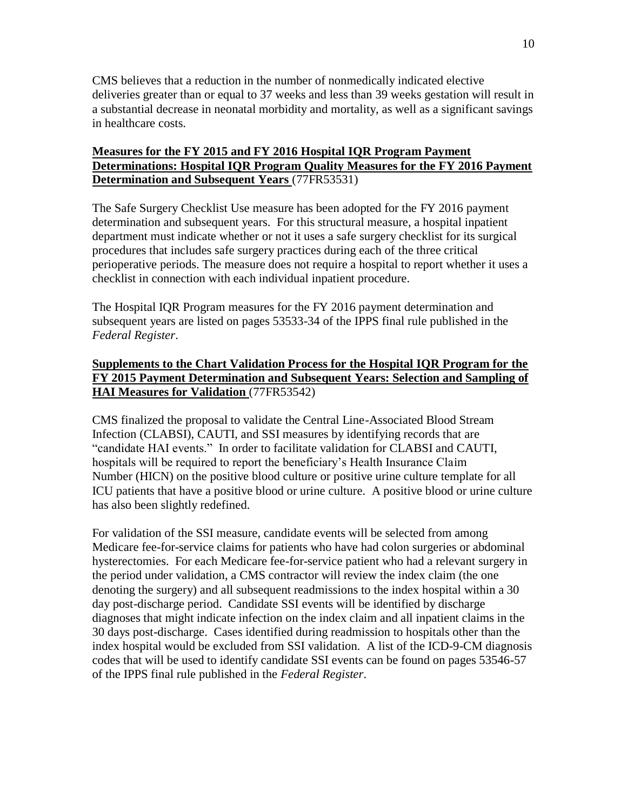CMS believes that a reduction in the number of nonmedically indicated elective deliveries greater than or equal to 37 weeks and less than 39 weeks gestation will result in a substantial decrease in neonatal morbidity and mortality, as well as a significant savings in healthcare costs.

#### **Measures for the FY 2015 and FY 2016 Hospital IQR Program Payment Determinations: Hospital IQR Program Quality Measures for the FY 2016 Payment Determination and Subsequent Years** (77FR53531)

The Safe Surgery Checklist Use measure has been adopted for the FY 2016 payment determination and subsequent years. For this structural measure, a hospital inpatient department must indicate whether or not it uses a safe surgery checklist for its surgical procedures that includes safe surgery practices during each of the three critical perioperative periods. The measure does not require a hospital to report whether it uses a checklist in connection with each individual inpatient procedure.

The Hospital IQR Program measures for the FY 2016 payment determination and subsequent years are listed on pages 53533-34 of the IPPS final rule published in the *Federal Register*.

#### **Supplements to the Chart Validation Process for the Hospital IQR Program for the FY 2015 Payment Determination and Subsequent Years: Selection and Sampling of HAI Measures for Validation** (77FR53542)

CMS finalized the proposal to validate the Central Line-Associated Blood Stream Infection (CLABSI), CAUTI, and SSI measures by identifying records that are "candidate HAI events." In order to facilitate validation for CLABSI and CAUTI, hospitals will be required to report the beneficiary's Health Insurance Claim Number (HICN) on the positive blood culture or positive urine culture template for all ICU patients that have a positive blood or urine culture. A positive blood or urine culture has also been slightly redefined.

For validation of the SSI measure, candidate events will be selected from among Medicare fee-for-service claims for patients who have had colon surgeries or abdominal hysterectomies. For each Medicare fee-for-service patient who had a relevant surgery in the period under validation, a CMS contractor will review the index claim (the one denoting the surgery) and all subsequent readmissions to the index hospital within a 30 day post-discharge period. Candidate SSI events will be identified by discharge diagnoses that might indicate infection on the index claim and all inpatient claims in the 30 days post-discharge. Cases identified during readmission to hospitals other than the index hospital would be excluded from SSI validation. A list of the ICD-9-CM diagnosis codes that will be used to identify candidate SSI events can be found on pages 53546-57 of the IPPS final rule published in the *Federal Register*.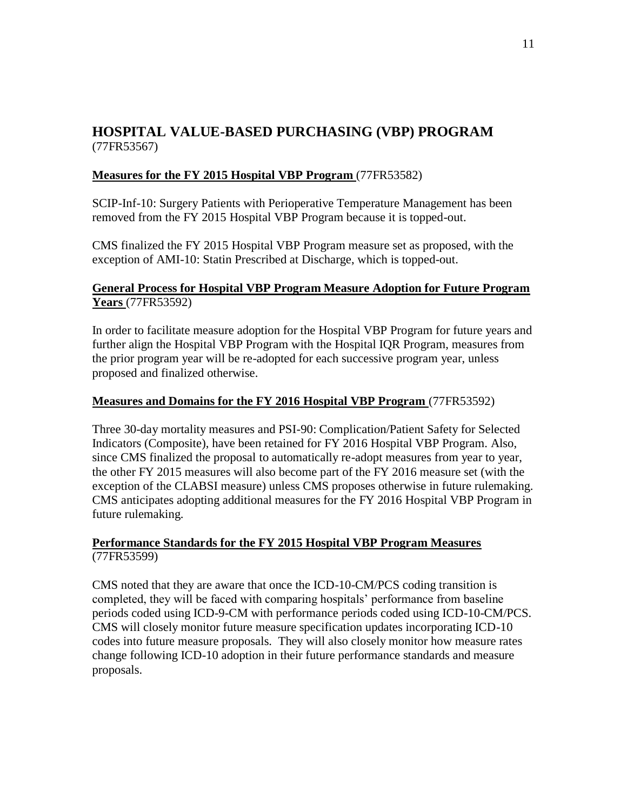## **HOSPITAL VALUE-BASED PURCHASING (VBP) PROGRAM**  (77FR53567)

#### **Measures for the FY 2015 Hospital VBP Program** (77FR53582)

SCIP-Inf-10: Surgery Patients with Perioperative Temperature Management has been removed from the FY 2015 Hospital VBP Program because it is topped-out.

CMS finalized the FY 2015 Hospital VBP Program measure set as proposed, with the exception of AMI-10: Statin Prescribed at Discharge, which is topped-out.

#### **General Process for Hospital VBP Program Measure Adoption for Future Program Years** (77FR53592)

In order to facilitate measure adoption for the Hospital VBP Program for future years and further align the Hospital VBP Program with the Hospital IQR Program, measures from the prior program year will be re-adopted for each successive program year, unless proposed and finalized otherwise.

#### **Measures and Domains for the FY 2016 Hospital VBP Program** (77FR53592)

Three 30-day mortality measures and PSI-90: Complication/Patient Safety for Selected Indicators (Composite), have been retained for FY 2016 Hospital VBP Program. Also, since CMS finalized the proposal to automatically re-adopt measures from year to year, the other FY 2015 measures will also become part of the FY 2016 measure set (with the exception of the CLABSI measure) unless CMS proposes otherwise in future rulemaking. CMS anticipates adopting additional measures for the FY 2016 Hospital VBP Program in future rulemaking.

#### **Performance Standards for the FY 2015 Hospital VBP Program Measures**  (77FR53599)

CMS noted that they are aware that once the ICD-10-CM/PCS coding transition is completed, they will be faced with comparing hospitals' performance from baseline periods coded using ICD-9-CM with performance periods coded using ICD-10-CM/PCS. CMS will closely monitor future measure specification updates incorporating ICD-10 codes into future measure proposals. They will also closely monitor how measure rates change following ICD-10 adoption in their future performance standards and measure proposals.